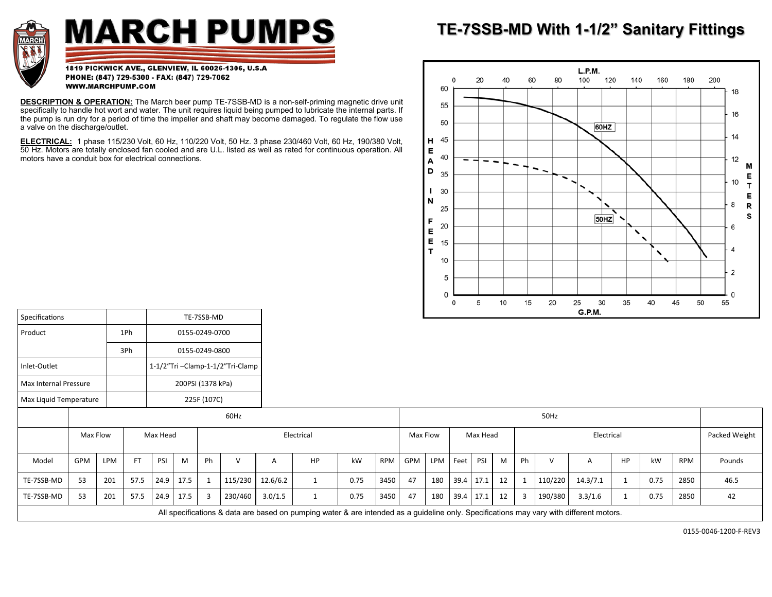

## **MARCH PUMPS**

1819 PICKWICK AVE., GLENVIEW, IL 60026-1306, U.S.A PHONE: (847) 729-5300 - FAX: (847) 729-7062 WWW.MARCHPUMP.COM

**DESCRIPTION & OPERATION:** The March beer pump TE-7SSB-MD is a non-self-priming magnetic drive unit specifically to handle hot wort and water. The unit requires liquid being pumped to lubricate the internal parts. If the pump is run dry for a period of time the impeller and shaft may become damaged. To regulate the flow use a valve on the discharge/outlet.

**ELECTRICAL:** 1 phase 115/230 Volt, 60 Hz, 110/220 Volt, 50 Hz. 3 phase 230/460 Volt, 60 Hz, 190/380 Volt, 50 Hz. Motors are totally enclosed fan cooled and are U.L. listed as well as rated for continuous operation. All motors have a conduit box for electrical connections.

## **TE-7SSB-MD With 1-1/2" [Sanitary Fittings](https://www.marchpump.com/pumps/)**



| Specifications         |          |     |                |                                 |                   | TE-7SSB-MD |              |          |                                                                                                                                         |      |            |      |          |      |          |    |            |         | $- \cdots$ |    |      |               |        |
|------------------------|----------|-----|----------------|---------------------------------|-------------------|------------|--------------|----------|-----------------------------------------------------------------------------------------------------------------------------------------|------|------------|------|----------|------|----------|----|------------|---------|------------|----|------|---------------|--------|
| Product                |          |     | 1Ph            | 0155-0249-0700                  |                   |            |              |          |                                                                                                                                         |      |            |      |          |      |          |    |            |         |            |    |      |               |        |
|                        |          | 3Ph | 0155-0249-0800 |                                 |                   |            |              |          |                                                                                                                                         |      |            |      |          |      |          |    |            |         |            |    |      |               |        |
| Inlet-Outlet           |          |     |                | 1-1/2"Tri-Clamp-1-1/2"Tri-Clamp |                   |            |              |          |                                                                                                                                         |      |            |      |          |      |          |    |            |         |            |    |      |               |        |
| Max Internal Pressure  |          |     |                |                                 | 200PSI (1378 kPa) |            |              |          |                                                                                                                                         |      |            |      |          |      |          |    |            |         |            |    |      |               |        |
| Max Liquid Temperature |          |     |                |                                 | 225F (107C)       |            |              |          |                                                                                                                                         |      |            |      |          |      |          |    |            |         |            |    |      |               |        |
|                        | 60Hz     |     |                |                                 |                   |            |              |          |                                                                                                                                         |      |            | 50Hz |          |      |          |    |            |         |            |    |      |               |        |
|                        | Max Flow |     |                | Max Head                        |                   |            |              |          | Electrical                                                                                                                              |      |            |      | Max Flow |      | Max Head |    | Electrical |         |            |    |      | Packed Weight |        |
| Model                  | GPM      | LPM | <b>FT</b>      | PSI                             | M                 | Ph         | $\mathsf{V}$ | A        | <b>HP</b>                                                                                                                               | kW   | <b>RPM</b> | GPM  | LPM Feet |      | PSI      | M  | Ph         |         |            | HP | kW   | RPM           | Pounds |
| TE-7SSB-MD             | 53       | 201 | 57.5           | 24.9                            | 17.5              |            | 115/230      | 12.6/6.2 | $\mathbf{1}$                                                                                                                            | 0.75 | 3450       | 47   | 180      | 39.4 | 17.1     | 12 |            | 110/220 | 14.3/7.1   |    | 0.75 | 2850          | 46.5   |
| TE-7SSB-MD             | 53       | 201 | 57.5           | 24.9                            | 17.5              |            | 230/460      | 3.0/1.5  |                                                                                                                                         | 0.75 | 3450       | 47   | 180      | 39.4 | 17.1     | 12 | 3          | 190/380 | 3.3/1.6    |    | 0.75 | 2850          | 42     |
|                        |          |     |                |                                 |                   |            |              |          | All specifications & data are based on pumping water & are intended as a guideline only. Specifications may vary with different motors. |      |            |      |          |      |          |    |            |         |            |    |      |               |        |

0155-0046-1200-F-REV3